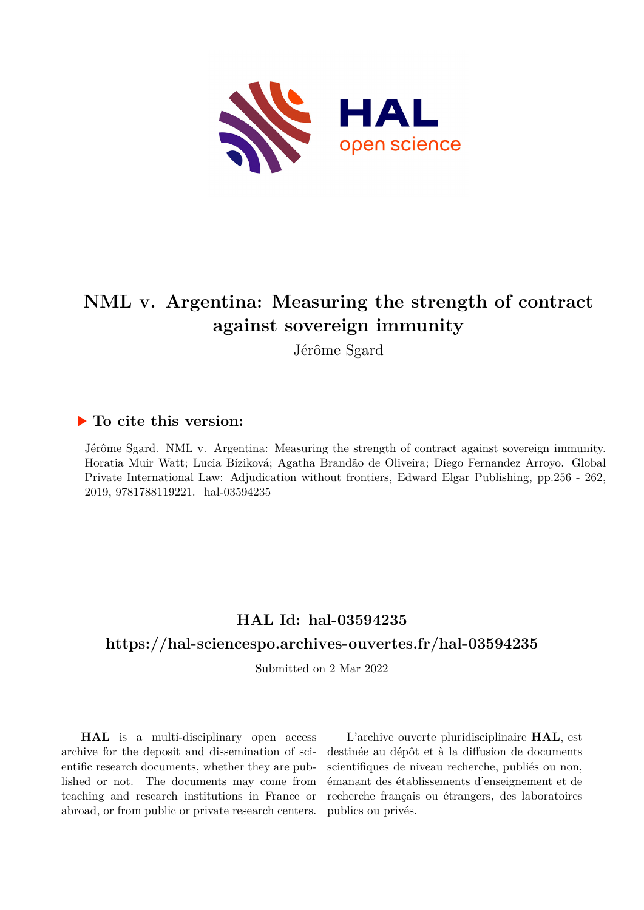

# **NML v. Argentina: Measuring the strength of contract against sovereign immunity**

Jérôme Sgard

### **To cite this version:**

Jérôme Sgard. NML v. Argentina: Measuring the strength of contract against sovereign immunity. Horatia Muir Watt; Lucia Bíziková; Agatha Brandão de Oliveira; Diego Fernandez Arroyo. Global Private International Law: Adjudication without frontiers, Edward Elgar Publishing, pp.256 - 262, 2019, 9781788119221. hal-03594235

# **HAL Id: hal-03594235**

# **<https://hal-sciencespo.archives-ouvertes.fr/hal-03594235>**

Submitted on 2 Mar 2022

**HAL** is a multi-disciplinary open access archive for the deposit and dissemination of scientific research documents, whether they are published or not. The documents may come from teaching and research institutions in France or abroad, or from public or private research centers.

L'archive ouverte pluridisciplinaire **HAL**, est destinée au dépôt et à la diffusion de documents scientifiques de niveau recherche, publiés ou non, émanant des établissements d'enseignement et de recherche français ou étrangers, des laboratoires publics ou privés.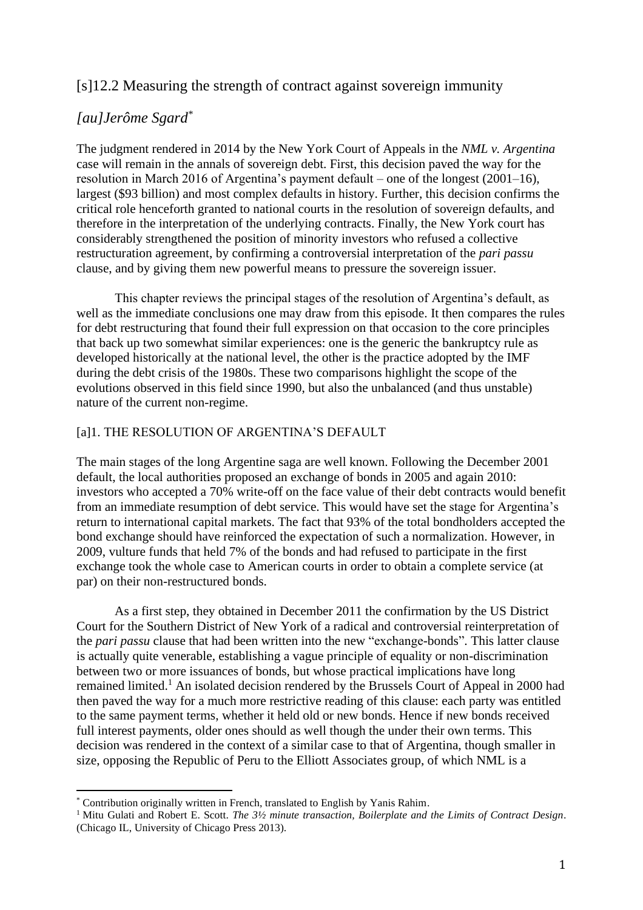## [s]12.2 Measuring the strength of contract against sovereign immunity

# *[au]Jerôme Sgard\**

The judgment rendered in 2014 by the New York Court of Appeals in the *NML v. Argentina* case will remain in the annals of sovereign debt. First, this decision paved the way for the resolution in March 2016 of Argentina's payment default – one of the longest (2001–16), largest (\$93 billion) and most complex defaults in history. Further, this decision confirms the critical role henceforth granted to national courts in the resolution of sovereign defaults, and therefore in the interpretation of the underlying contracts. Finally, the New York court has considerably strengthened the position of minority investors who refused a collective restructuration agreement, by confirming a controversial interpretation of the *pari passu* clause, and by giving them new powerful means to pressure the sovereign issuer.

This chapter reviews the principal stages of the resolution of Argentina's default, as well as the immediate conclusions one may draw from this episode. It then compares the rules for debt restructuring that found their full expression on that occasion to the core principles that back up two somewhat similar experiences: one is the generic the bankruptcy rule as developed historically at the national level, the other is the practice adopted by the IMF during the debt crisis of the 1980s. These two comparisons highlight the scope of the evolutions observed in this field since 1990, but also the unbalanced (and thus unstable) nature of the current non-regime.

### [a]1. THE RESOLUTION OF ARGENTINA'S DEFAULT

The main stages of the long Argentine saga are well known. Following the December 2001 default, the local authorities proposed an exchange of bonds in 2005 and again 2010: investors who accepted a 70% write-off on the face value of their debt contracts would benefit from an immediate resumption of debt service. This would have set the stage for Argentina's return to international capital markets. The fact that 93% of the total bondholders accepted the bond exchange should have reinforced the expectation of such a normalization. However, in 2009, vulture funds that held 7% of the bonds and had refused to participate in the first exchange took the whole case to American courts in order to obtain a complete service (at par) on their non-restructured bonds.

As a first step, they obtained in December 2011 the confirmation by the US District Court for the Southern District of New York of a radical and controversial reinterpretation of the *pari passu* clause that had been written into the new "exchange-bonds". This latter clause is actually quite venerable, establishing a vague principle of equality or non-discrimination between two or more issuances of bonds, but whose practical implications have long remained limited.<sup>1</sup> An isolated decision rendered by the Brussels Court of Appeal in 2000 had then paved the way for a much more restrictive reading of this clause: each party was entitled to the same payment terms, whether it held old or new bonds. Hence if new bonds received full interest payments, older ones should as well though the under their own terms. This decision was rendered in the context of a similar case to that of Argentina, though smaller in size, opposing the Republic of Peru to the Elliott Associates group, of which NML is a

<sup>\*</sup> Contribution originally written in French, translated to English by Yanis Rahim.

<sup>1</sup> Mitu Gulati and Robert E. Scott. *The 3½ minute transaction, Boilerplate and the Limits of Contract Design*. (Chicago IL, University of Chicago Press 2013).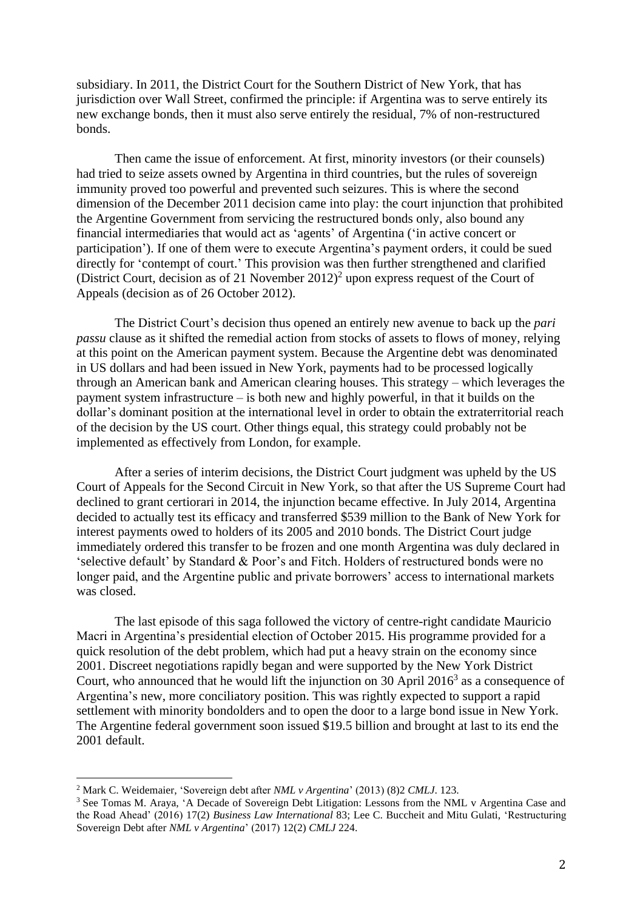subsidiary. In 2011, the District Court for the Southern District of New York, that has jurisdiction over Wall Street, confirmed the principle: if Argentina was to serve entirely its new exchange bonds, then it must also serve entirely the residual, 7% of non-restructured bonds.

Then came the issue of enforcement. At first, minority investors (or their counsels) had tried to seize assets owned by Argentina in third countries, but the rules of sovereign immunity proved too powerful and prevented such seizures. This is where the second dimension of the December 2011 decision came into play: the court injunction that prohibited the Argentine Government from servicing the restructured bonds only, also bound any financial intermediaries that would act as 'agents' of Argentina ('in active concert or participation'). If one of them were to execute Argentina's payment orders, it could be sued directly for 'contempt of court.' This provision was then further strengthened and clarified (District Court, decision as of 21 November  $2012$ )<sup>2</sup> upon express request of the Court of Appeals (decision as of 26 October 2012).

The District Court's decision thus opened an entirely new avenue to back up the *pari passu* clause as it shifted the remedial action from stocks of assets to flows of money, relying at this point on the American payment system. Because the Argentine debt was denominated in US dollars and had been issued in New York, payments had to be processed logically through an American bank and American clearing houses. This strategy – which leverages the payment system infrastructure – is both new and highly powerful, in that it builds on the dollar's dominant position at the international level in order to obtain the extraterritorial reach of the decision by the US court. Other things equal, this strategy could probably not be implemented as effectively from London, for example.

After a series of interim decisions, the District Court judgment was upheld by the US Court of Appeals for the Second Circuit in New York, so that after the US Supreme Court had declined to grant certiorari in 2014, the injunction became effective. In July 2014, Argentina decided to actually test its efficacy and transferred \$539 million to the Bank of New York for interest payments owed to holders of its 2005 and 2010 bonds. The District Court judge immediately ordered this transfer to be frozen and one month Argentina was duly declared in 'selective default' by Standard & Poor's and Fitch. Holders of restructured bonds were no longer paid, and the Argentine public and private borrowers' access to international markets was closed.

The last episode of this saga followed the victory of centre-right candidate Mauricio Macri in Argentina's presidential election of October 2015. His programme provided for a quick resolution of the debt problem, which had put a heavy strain on the economy since 2001. Discreet negotiations rapidly began and were supported by the New York District Court, who announced that he would lift the injunction on 30 April  $2016<sup>3</sup>$  as a consequence of Argentina's new, more conciliatory position. This was rightly expected to support a rapid settlement with minority bondolders and to open the door to a large bond issue in New York. The Argentine federal government soon issued \$19.5 billion and brought at last to its end the 2001 default.

<sup>2</sup> Mark C. Weidemaier, 'Sovereign debt after *NML v Argentina*' (2013) (8)2 *CMLJ*. 123.

<sup>3</sup> See Tomas M. Araya, 'A Decade of Sovereign Debt Litigation: Lessons from the NML v Argentina Case and the Road Ahead' (2016) 17(2) *Business Law International* 83; Lee C. Buccheit and Mitu Gulati, 'Restructuring Sovereign Debt after *NML v Argentina*' (2017) 12(2) *CMLJ* 224.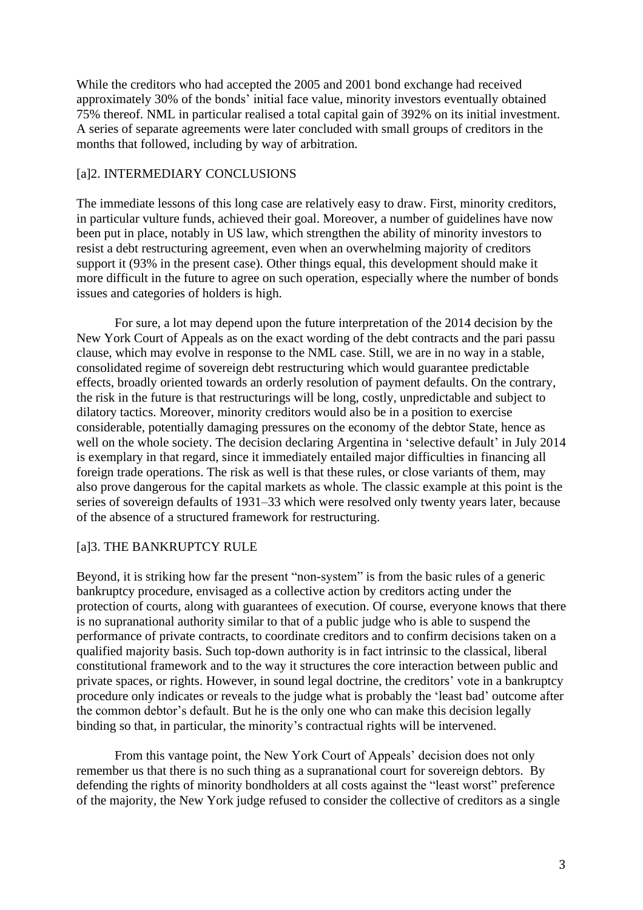While the creditors who had accepted the 2005 and 2001 bond exchange had received approximately 30% of the bonds' initial face value, minority investors eventually obtained 75% thereof. NML in particular realised a total capital gain of 392% on its initial investment. A series of separate agreements were later concluded with small groups of creditors in the months that followed, including by way of arbitration.

#### [a]2. INTERMEDIARY CONCLUSIONS

The immediate lessons of this long case are relatively easy to draw. First, minority creditors, in particular vulture funds, achieved their goal. Moreover, a number of guidelines have now been put in place, notably in US law, which strengthen the ability of minority investors to resist a debt restructuring agreement, even when an overwhelming majority of creditors support it (93% in the present case). Other things equal, this development should make it more difficult in the future to agree on such operation, especially where the number of bonds issues and categories of holders is high.

For sure, a lot may depend upon the future interpretation of the 2014 decision by the New York Court of Appeals as on the exact wording of the debt contracts and the pari passu clause, which may evolve in response to the NML case. Still, we are in no way in a stable, consolidated regime of sovereign debt restructuring which would guarantee predictable effects, broadly oriented towards an orderly resolution of payment defaults. On the contrary, the risk in the future is that restructurings will be long, costly, unpredictable and subject to dilatory tactics. Moreover, minority creditors would also be in a position to exercise considerable, potentially damaging pressures on the economy of the debtor State, hence as well on the whole society. The decision declaring Argentina in 'selective default' in July 2014 is exemplary in that regard, since it immediately entailed major difficulties in financing all foreign trade operations. The risk as well is that these rules, or close variants of them, may also prove dangerous for the capital markets as whole. The classic example at this point is the series of sovereign defaults of 1931–33 which were resolved only twenty years later, because of the absence of a structured framework for restructuring.

### [a]3. THE BANKRUPTCY RULE

Beyond, it is striking how far the present "non-system" is from the basic rules of a generic bankruptcy procedure, envisaged as a collective action by creditors acting under the protection of courts, along with guarantees of execution. Of course, everyone knows that there is no supranational authority similar to that of a public judge who is able to suspend the performance of private contracts, to coordinate creditors and to confirm decisions taken on a qualified majority basis. Such top-down authority is in fact intrinsic to the classical, liberal constitutional framework and to the way it structures the core interaction between public and private spaces, or rights. However, in sound legal doctrine, the creditors' vote in a bankruptcy procedure only indicates or reveals to the judge what is probably the 'least bad' outcome after the common debtor's default. But he is the only one who can make this decision legally binding so that, in particular, the minority's contractual rights will be intervened.

From this vantage point, the New York Court of Appeals' decision does not only remember us that there is no such thing as a supranational court for sovereign debtors. By defending the rights of minority bondholders at all costs against the "least worst" preference of the majority, the New York judge refused to consider the collective of creditors as a single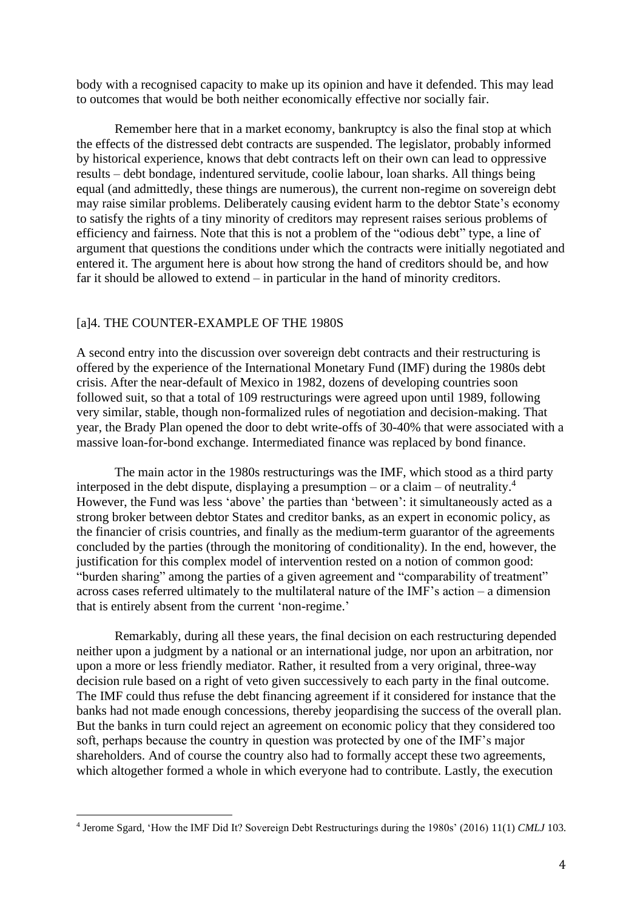body with a recognised capacity to make up its opinion and have it defended. This may lead to outcomes that would be both neither economically effective nor socially fair.

Remember here that in a market economy, bankruptcy is also the final stop at which the effects of the distressed debt contracts are suspended. The legislator, probably informed by historical experience, knows that debt contracts left on their own can lead to oppressive results – debt bondage, indentured servitude, coolie labour, loan sharks. All things being equal (and admittedly, these things are numerous), the current non-regime on sovereign debt may raise similar problems. Deliberately causing evident harm to the debtor State's economy to satisfy the rights of a tiny minority of creditors may represent raises serious problems of efficiency and fairness. Note that this is not a problem of the "odious debt" type, a line of argument that questions the conditions under which the contracts were initially negotiated and entered it. The argument here is about how strong the hand of creditors should be, and how far it should be allowed to extend – in particular in the hand of minority creditors.

#### [a]4. THE COUNTER-EXAMPLE OF THE 1980S

A second entry into the discussion over sovereign debt contracts and their restructuring is offered by the experience of the International Monetary Fund (IMF) during the 1980s debt crisis. After the near-default of Mexico in 1982, dozens of developing countries soon followed suit, so that a total of 109 restructurings were agreed upon until 1989, following very similar, stable, though non-formalized rules of negotiation and decision-making. That year, the Brady Plan opened the door to debt write-offs of 30-40% that were associated with a massive loan-for-bond exchange. Intermediated finance was replaced by bond finance.

The main actor in the 1980s restructurings was the IMF, which stood as a third party interposed in the debt dispute, displaying a presumption – or a claim – of neutrality.<sup>4</sup> However, the Fund was less 'above' the parties than 'between': it simultaneously acted as a strong broker between debtor States and creditor banks, as an expert in economic policy, as the financier of crisis countries, and finally as the medium-term guarantor of the agreements concluded by the parties (through the monitoring of conditionality). In the end, however, the justification for this complex model of intervention rested on a notion of common good: "burden sharing" among the parties of a given agreement and "comparability of treatment" across cases referred ultimately to the multilateral nature of the IMF's action – a dimension that is entirely absent from the current 'non-regime.'

Remarkably, during all these years, the final decision on each restructuring depended neither upon a judgment by a national or an international judge, nor upon an arbitration, nor upon a more or less friendly mediator. Rather, it resulted from a very original, three-way decision rule based on a right of veto given successively to each party in the final outcome. The IMF could thus refuse the debt financing agreement if it considered for instance that the banks had not made enough concessions, thereby jeopardising the success of the overall plan. But the banks in turn could reject an agreement on economic policy that they considered too soft, perhaps because the country in question was protected by one of the IMF's major shareholders. And of course the country also had to formally accept these two agreements, which altogether formed a whole in which everyone had to contribute. Lastly, the execution

<sup>4</sup> Jerome Sgard, 'How the IMF Did It? Sovereign Debt Restructurings during the 1980s' (2016) 11(1) *CMLJ* 103*.*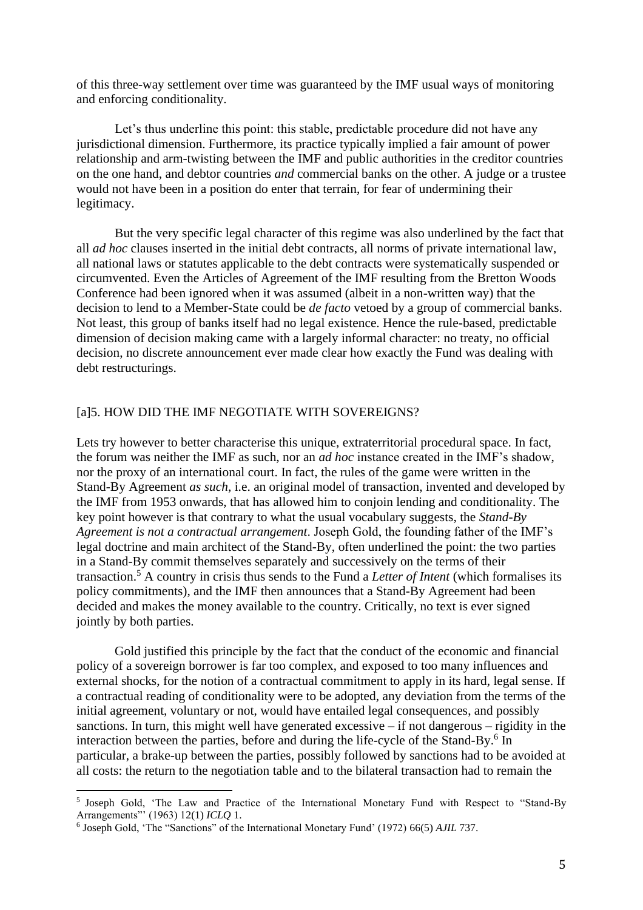of this three-way settlement over time was guaranteed by the IMF usual ways of monitoring and enforcing conditionality.

Let's thus underline this point: this stable, predictable procedure did not have any jurisdictional dimension. Furthermore, its practice typically implied a fair amount of power relationship and arm-twisting between the IMF and public authorities in the creditor countries on the one hand, and debtor countries *and* commercial banks on the other. A judge or a trustee would not have been in a position do enter that terrain, for fear of undermining their legitimacy.

But the very specific legal character of this regime was also underlined by the fact that all *ad hoc* clauses inserted in the initial debt contracts, all norms of private international law, all national laws or statutes applicable to the debt contracts were systematically suspended or circumvented. Even the Articles of Agreement of the IMF resulting from the Bretton Woods Conference had been ignored when it was assumed (albeit in a non-written way) that the decision to lend to a Member-State could be *de facto* vetoed by a group of commercial banks. Not least, this group of banks itself had no legal existence. Hence the rule-based, predictable dimension of decision making came with a largely informal character: no treaty, no official decision, no discrete announcement ever made clear how exactly the Fund was dealing with debt restructurings.

#### [a]5. HOW DID THE IMF NEGOTIATE WITH SOVEREIGNS?

Lets try however to better characterise this unique, extraterritorial procedural space. In fact, the forum was neither the IMF as such, nor an *ad hoc* instance created in the IMF's shadow, nor the proxy of an international court. In fact, the rules of the game were written in the Stand-By Agreement *as such*, i.e. an original model of transaction, invented and developed by the IMF from 1953 onwards, that has allowed him to conjoin lending and conditionality. The key point however is that contrary to what the usual vocabulary suggests, the *Stand-By Agreement is not a contractual arrangement*. Joseph Gold, the founding father of the IMF's legal doctrine and main architect of the Stand-By, often underlined the point: the two parties in a Stand-By commit themselves separately and successively on the terms of their transaction.<sup>5</sup> A country in crisis thus sends to the Fund a *Letter of Intent* (which formalises its policy commitments), and the IMF then announces that a Stand-By Agreement had been decided and makes the money available to the country. Critically, no text is ever signed jointly by both parties.

Gold justified this principle by the fact that the conduct of the economic and financial policy of a sovereign borrower is far too complex, and exposed to too many influences and external shocks, for the notion of a contractual commitment to apply in its hard, legal sense. If a contractual reading of conditionality were to be adopted, any deviation from the terms of the initial agreement, voluntary or not, would have entailed legal consequences, and possibly sanctions. In turn, this might well have generated excessive – if not dangerous – rigidity in the interaction between the parties, before and during the life-cycle of the Stand-By.<sup>6</sup> In particular, a brake-up between the parties, possibly followed by sanctions had to be avoided at all costs: the return to the negotiation table and to the bilateral transaction had to remain the

<sup>5</sup> Joseph Gold, 'The Law and Practice of the International Monetary Fund with Respect to "Stand-By Arrangements"' (1963) 12(1) *ICLQ* 1.

<sup>6</sup> Joseph Gold, 'The "Sanctions" of the International Monetary Fund' (1972) 66(5) *AJIL* 737.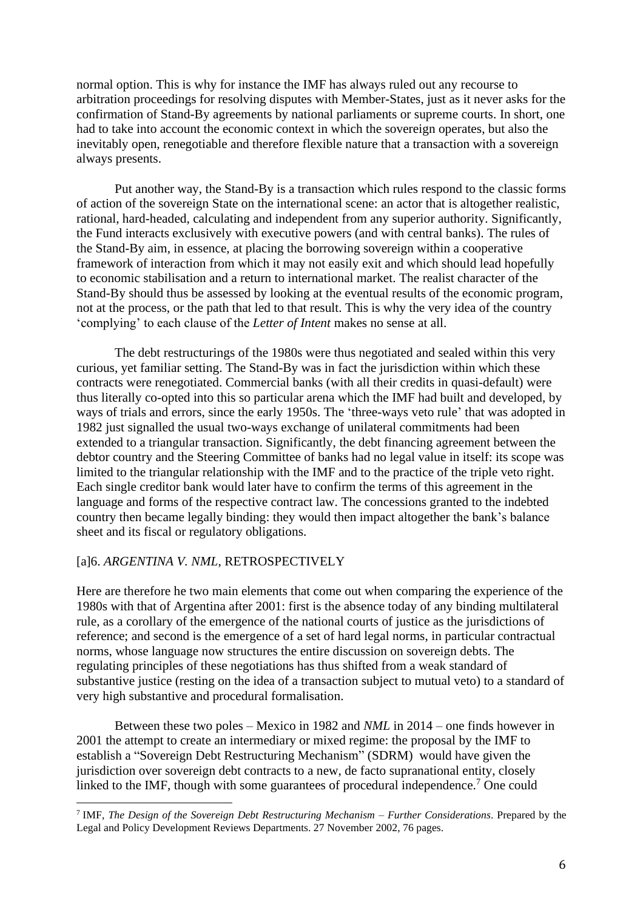normal option. This is why for instance the IMF has always ruled out any recourse to arbitration proceedings for resolving disputes with Member-States, just as it never asks for the confirmation of Stand-By agreements by national parliaments or supreme courts. In short, one had to take into account the economic context in which the sovereign operates, but also the inevitably open, renegotiable and therefore flexible nature that a transaction with a sovereign always presents.

Put another way, the Stand-By is a transaction which rules respond to the classic forms of action of the sovereign State on the international scene: an actor that is altogether realistic, rational, hard-headed, calculating and independent from any superior authority. Significantly, the Fund interacts exclusively with executive powers (and with central banks). The rules of the Stand-By aim, in essence, at placing the borrowing sovereign within a cooperative framework of interaction from which it may not easily exit and which should lead hopefully to economic stabilisation and a return to international market. The realist character of the Stand-By should thus be assessed by looking at the eventual results of the economic program, not at the process, or the path that led to that result. This is why the very idea of the country 'complying' to each clause of the *Letter of Intent* makes no sense at all.

The debt restructurings of the 1980s were thus negotiated and sealed within this very curious, yet familiar setting. The Stand-By was in fact the jurisdiction within which these contracts were renegotiated. Commercial banks (with all their credits in quasi-default) were thus literally co-opted into this so particular arena which the IMF had built and developed, by ways of trials and errors, since the early 1950s. The 'three-ways veto rule' that was adopted in 1982 just signalled the usual two-ways exchange of unilateral commitments had been extended to a triangular transaction. Significantly, the debt financing agreement between the debtor country and the Steering Committee of banks had no legal value in itself: its scope was limited to the triangular relationship with the IMF and to the practice of the triple veto right. Each single creditor bank would later have to confirm the terms of this agreement in the language and forms of the respective contract law. The concessions granted to the indebted country then became legally binding: they would then impact altogether the bank's balance sheet and its fiscal or regulatory obligations.

#### [a]6. *ARGENTINA V. NML*, RETROSPECTIVELY

Here are therefore he two main elements that come out when comparing the experience of the 1980s with that of Argentina after 2001: first is the absence today of any binding multilateral rule, as a corollary of the emergence of the national courts of justice as the jurisdictions of reference; and second is the emergence of a set of hard legal norms, in particular contractual norms, whose language now structures the entire discussion on sovereign debts. The regulating principles of these negotiations has thus shifted from a weak standard of substantive justice (resting on the idea of a transaction subject to mutual veto) to a standard of very high substantive and procedural formalisation.

Between these two poles – Mexico in 1982 and *NML* in 2014 – one finds however in 2001 the attempt to create an intermediary or mixed regime: the proposal by the IMF to establish a "Sovereign Debt Restructuring Mechanism" (SDRM) would have given the jurisdiction over sovereign debt contracts to a new, de facto supranational entity, closely linked to the IMF, though with some guarantees of procedural independence.<sup>7</sup> One could

<sup>7</sup> IMF, *The Design of the Sovereign Debt Restructuring Mechanism – Further Considerations*. Prepared by the Legal and Policy Development Reviews Departments. 27 November 2002, 76 pages.